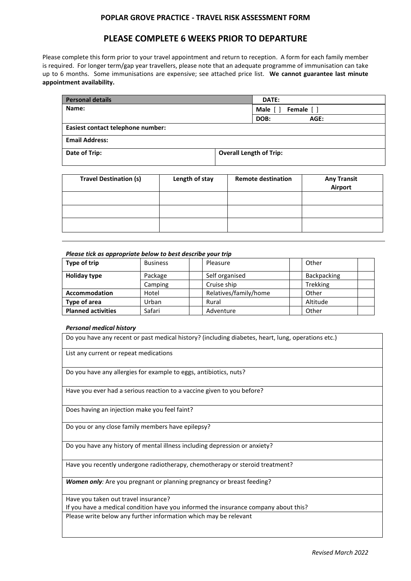### **POPLAR GROVE PRACTICE - TRAVEL RISK ASSESSMENT FORM**

## **PLEASE COMPLETE 6 WEEKS PRIOR TO DEPARTURE**

Please complete this form prior to your travel appointment and return to reception. A form for each family member is required. For longer term/gap year travellers, please note that an adequate programme of immunisation can take up to 6 months. Some immunisations are expensive; see attached price list. **We cannot guarantee last minute appointment availability.**

| <b>Personal details</b>           | DATE:                          |  |
|-----------------------------------|--------------------------------|--|
| Name:                             | Male []<br>Female [ ]          |  |
|                                   | DOB:<br>AGE:                   |  |
| Easiest contact telephone number: |                                |  |
| <b>Email Address:</b>             |                                |  |
| Date of Trip:                     | <b>Overall Length of Trip:</b> |  |

| <b>Travel Destination (s)</b> | Length of stay | <b>Remote destination</b> | <b>Any Transit</b><br>Airport |
|-------------------------------|----------------|---------------------------|-------------------------------|
|                               |                |                           |                               |
|                               |                |                           |                               |
|                               |                |                           |                               |

| Please tick as appropriate below to best describe your trip |                 |                       |                    |  |
|-------------------------------------------------------------|-----------------|-----------------------|--------------------|--|
| Type of trip                                                | <b>Business</b> | Pleasure              | Other              |  |
| <b>Holiday type</b>                                         | Package         | Self organised        | <b>Backpacking</b> |  |
|                                                             | Camping         | Cruise ship           | <b>Trekking</b>    |  |
| <b>Accommodation</b>                                        | Hotel           | Relatives/family/home | Other              |  |
| Type of area                                                | Urban           | Rural                 | Altitude           |  |
| <b>Planned activities</b>                                   | Safari          | Adventure             | Other              |  |

#### *Personal medical history*

Do you have any recent or past medical history? (including diabetes, heart, lung, operations etc.)

List any current or repeat medications

Do you have any allergies for example to eggs, antibiotics, nuts?

Have you ever had a serious reaction to a vaccine given to you before?

Does having an injection make you feel faint?

Do you or any close family members have epilepsy?

Do you have any history of mental illness including depression or anxiety?

Have you recently undergone radiotherapy, chemotherapy or steroid treatment?

*Women only*: Are you pregnant or planning pregnancy or breast feeding?

Have you taken out travel insurance?

If you have a medical condition have you informed the insurance company about this?

Please write below any further information which may be relevant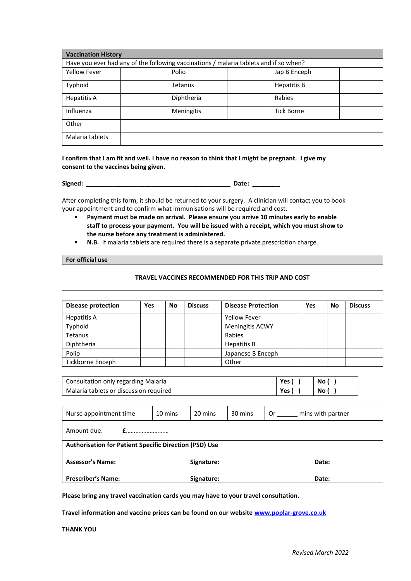| <b>Vaccination History</b>                                                            |            |                   |  |  |
|---------------------------------------------------------------------------------------|------------|-------------------|--|--|
| Have you ever had any of the following vaccinations / malaria tablets and if so when? |            |                   |  |  |
| <b>Yellow Fever</b>                                                                   | Polio      | Jap B Enceph      |  |  |
| Typhoid                                                                               | Tetanus    | Hepatitis B       |  |  |
| Hepatitis A                                                                           | Diphtheria | Rabies            |  |  |
| Influenza                                                                             | Meningitis | <b>Tick Borne</b> |  |  |
| Other                                                                                 |            |                   |  |  |
| Malaria tablets                                                                       |            |                   |  |  |

**I confirm that I am fit and well. I have no reason to think that I might be pregnant. I give my consent to the vaccines being given.**

**Signed: \_\_\_\_\_\_\_\_\_\_\_\_\_\_\_\_\_\_\_\_\_\_\_\_\_\_\_\_\_\_\_\_\_\_\_\_\_\_\_\_\_\_ Date: \_\_\_\_\_\_\_\_**

After completing this form, it should be returned to your surgery. A clinician will contact you to book your appointment and to confirm what immunisations will be required and cost.

- Payment must be made on arrival. Please ensure you arrive 10 minutes early to enable **staff to process your payment. You will be issued with a receipt, which you must show to the nurse before any treatment is administered.**
- **N.B.** If malaria tablets are required there is a separate private prescription charge.

#### **For official use**

#### **TRAVEL VACCINES RECOMMENDED FOR THIS TRIP AND COST**

| <b>Disease protection</b> | Yes | No | <b>Discuss</b> | <b>Disease Protection</b> | Yes | No | <b>Discuss</b> |
|---------------------------|-----|----|----------------|---------------------------|-----|----|----------------|
| <b>Hepatitis A</b>        |     |    |                | <b>Yellow Fever</b>       |     |    |                |
| Typhoid                   |     |    |                | <b>Meningitis ACWY</b>    |     |    |                |
| Tetanus                   |     |    |                | Rabies                    |     |    |                |
| Diphtheria                |     |    |                | Hepatitis B               |     |    |                |
| Polio                     |     |    |                | Japanese B Enceph         |     |    |                |
| Tickborne Enceph          |     |    |                | Other                     |     |    |                |

| Consultation only regarding Malaria    |      | No l |
|----------------------------------------|------|------|
| Malaria tablets or discussion required | Yes, | No ( |

| Nurse appointment time                                 | 10 mins | 20 mins    | 30 mins | mins with partner<br>0r |  |
|--------------------------------------------------------|---------|------------|---------|-------------------------|--|
| Amount due:                                            |         |            |         |                         |  |
| Authorisation for Patient Specific Direction (PSD) Use |         |            |         |                         |  |
| <b>Assessor's Name:</b>                                |         | Signature: |         | Date:                   |  |
| <b>Prescriber's Name:</b>                              |         | Signature: |         | Date:                   |  |

**Please bring any travel vaccination cards you may have to your travel consultation.**

**Travel information and vaccine prices can be found on our websit[e www.poplar-grove.co.uk](http://www.poplar-grove.co.uk/)**

**THANK YOU**